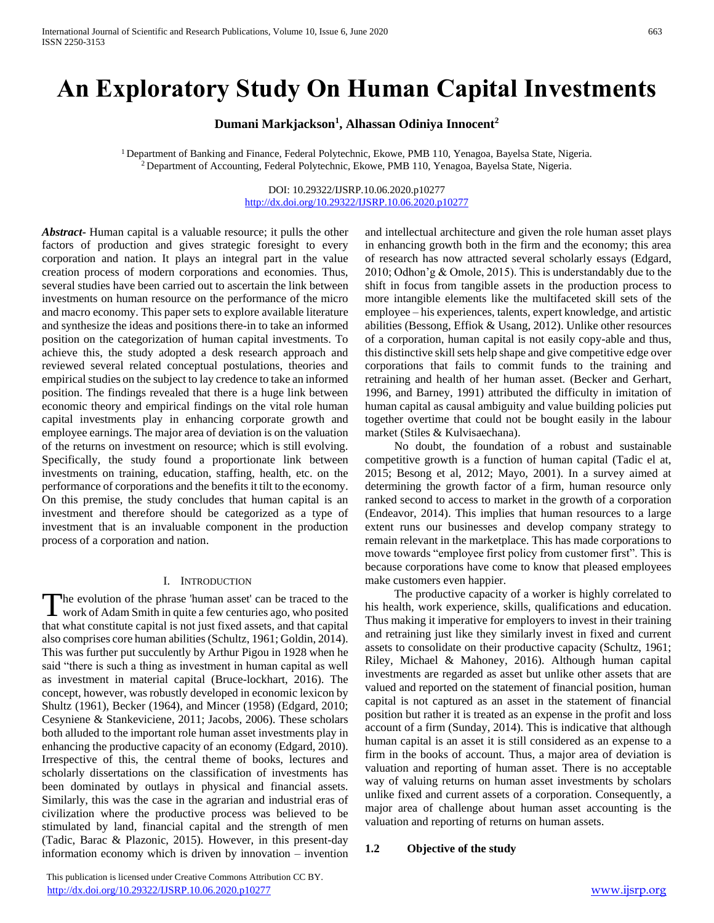# **An Exploratory Study On Human Capital Investments**

**Dumani Markjackson<sup>1</sup> , Alhassan Odiniya Innocent<sup>2</sup>**

<sup>1</sup> Department of Banking and Finance, Federal Polytechnic, Ekowe, PMB 110, Yenagoa, Bayelsa State, Nigeria. <sup>2</sup> Department of Accounting, Federal Polytechnic, Ekowe, PMB 110, Yenagoa, Bayelsa State, Nigeria.

> DOI: 10.29322/IJSRP.10.06.2020.p10277 <http://dx.doi.org/10.29322/IJSRP.10.06.2020.p10277>

*Abstract***-** Human capital is a valuable resource; it pulls the other factors of production and gives strategic foresight to every corporation and nation. It plays an integral part in the value creation process of modern corporations and economies. Thus, several studies have been carried out to ascertain the link between investments on human resource on the performance of the micro and macro economy. This paper sets to explore available literature and synthesize the ideas and positions there-in to take an informed position on the categorization of human capital investments. To achieve this, the study adopted a desk research approach and reviewed several related conceptual postulations, theories and empirical studies on the subject to lay credence to take an informed position. The findings revealed that there is a huge link between economic theory and empirical findings on the vital role human capital investments play in enhancing corporate growth and employee earnings. The major area of deviation is on the valuation of the returns on investment on resource; which is still evolving. Specifically, the study found a proportionate link between investments on training, education, staffing, health, etc. on the performance of corporations and the benefits it tilt to the economy. On this premise, the study concludes that human capital is an investment and therefore should be categorized as a type of investment that is an invaluable component in the production process of a corporation and nation.

#### I. INTRODUCTION

he evolution of the phrase 'human asset' can be traced to the The evolution of the phrase 'human asset' can be traced to the work of Adam Smith in quite a few centuries ago, who posited that what constitute capital is not just fixed assets, and that capital also comprises core human abilities (Schultz, 1961; Goldin, 2014). This was further put succulently by Arthur Pigou in 1928 when he said "there is such a thing as investment in human capital as well as investment in material capital (Bruce-lockhart, 2016). The concept, however, was robustly developed in economic lexicon by Shultz (1961), Becker (1964), and Mincer (1958) (Edgard, 2010; Cesyniene & Stankeviciene, 2011; Jacobs, 2006). These scholars both alluded to the important role human asset investments play in enhancing the productive capacity of an economy (Edgard, 2010). Irrespective of this, the central theme of books, lectures and scholarly dissertations on the classification of investments has been dominated by outlays in physical and financial assets. Similarly, this was the case in the agrarian and industrial eras of civilization where the productive process was believed to be stimulated by land, financial capital and the strength of men (Tadic, Barac & Plazonic, 2015). However, in this present-day information economy which is driven by innovation – invention

 This publication is licensed under Creative Commons Attribution CC BY. <http://dx.doi.org/10.29322/IJSRP.10.06.2020.p10277> [www.ijsrp.org](http://ijsrp.org/)

and intellectual architecture and given the role human asset plays in enhancing growth both in the firm and the economy; this area of research has now attracted several scholarly essays (Edgard, 2010; Odhon'g & Omole, 2015). This is understandably due to the shift in focus from tangible assets in the production process to more intangible elements like the multifaceted skill sets of the employee – his experiences, talents, expert knowledge, and artistic abilities (Bessong, Effiok & Usang, 2012). Unlike other resources of a corporation, human capital is not easily copy-able and thus, this distinctive skill sets help shape and give competitive edge over corporations that fails to commit funds to the training and retraining and health of her human asset. (Becker and Gerhart, 1996, and Barney, 1991) attributed the difficulty in imitation of human capital as causal ambiguity and value building policies put together overtime that could not be bought easily in the labour market (Stiles & Kulvisaechana).

 No doubt, the foundation of a robust and sustainable competitive growth is a function of human capital (Tadic el at, 2015; Besong et al, 2012; Mayo, 2001). In a survey aimed at determining the growth factor of a firm, human resource only ranked second to access to market in the growth of a corporation (Endeavor, 2014). This implies that human resources to a large extent runs our businesses and develop company strategy to remain relevant in the marketplace. This has made corporations to move towards "employee first policy from customer first". This is because corporations have come to know that pleased employees make customers even happier.

 The productive capacity of a worker is highly correlated to his health, work experience, skills, qualifications and education. Thus making it imperative for employers to invest in their training and retraining just like they similarly invest in fixed and current assets to consolidate on their productive capacity (Schultz, 1961; Riley, Michael & Mahoney, 2016). Although human capital investments are regarded as asset but unlike other assets that are valued and reported on the statement of financial position, human capital is not captured as an asset in the statement of financial position but rather it is treated as an expense in the profit and loss account of a firm (Sunday, 2014). This is indicative that although human capital is an asset it is still considered as an expense to a firm in the books of account. Thus, a major area of deviation is valuation and reporting of human asset. There is no acceptable way of valuing returns on human asset investments by scholars unlike fixed and current assets of a corporation. Consequently, a major area of challenge about human asset accounting is the valuation and reporting of returns on human assets.

## **1.2 Objective of the study**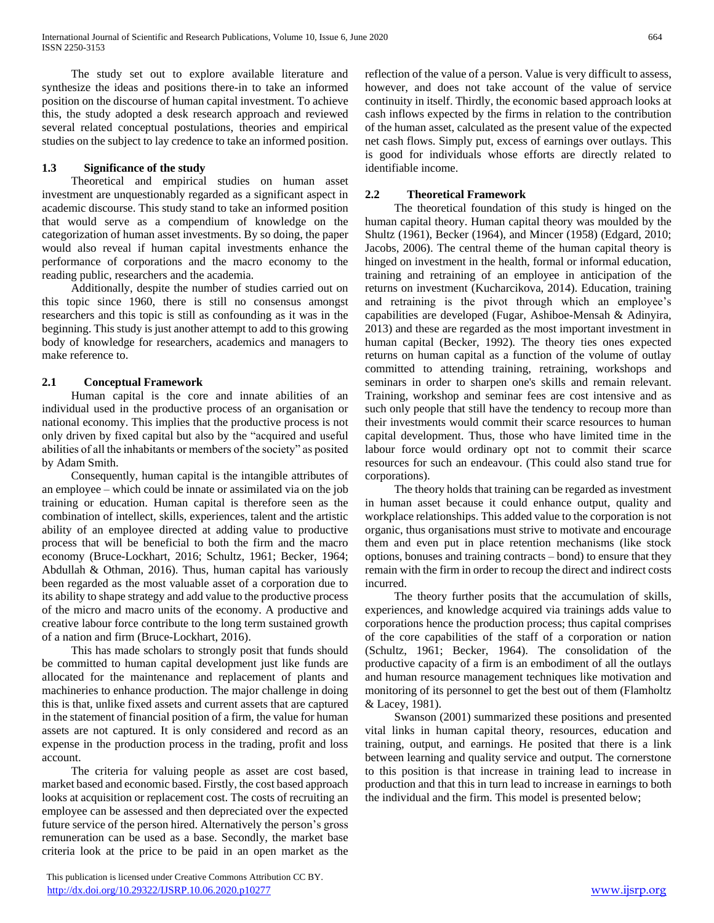The study set out to explore available literature and synthesize the ideas and positions there-in to take an informed position on the discourse of human capital investment. To achieve this, the study adopted a desk research approach and reviewed several related conceptual postulations, theories and empirical studies on the subject to lay credence to take an informed position.

# **1.3 Significance of the study**

 Theoretical and empirical studies on human asset investment are unquestionably regarded as a significant aspect in academic discourse. This study stand to take an informed position that would serve as a compendium of knowledge on the categorization of human asset investments. By so doing, the paper would also reveal if human capital investments enhance the performance of corporations and the macro economy to the reading public, researchers and the academia.

 Additionally, despite the number of studies carried out on this topic since 1960, there is still no consensus amongst researchers and this topic is still as confounding as it was in the beginning. This study is just another attempt to add to this growing body of knowledge for researchers, academics and managers to make reference to.

# **2.1 Conceptual Framework**

 Human capital is the core and innate abilities of an individual used in the productive process of an organisation or national economy. This implies that the productive process is not only driven by fixed capital but also by the "acquired and useful abilities of all the inhabitants or members of the society" as posited by Adam Smith.

 Consequently, human capital is the intangible attributes of an employee – which could be innate or assimilated via on the job training or education. Human capital is therefore seen as the combination of intellect, skills, experiences, talent and the artistic ability of an employee directed at adding value to productive process that will be beneficial to both the firm and the macro economy (Bruce-Lockhart, 2016; Schultz, 1961; Becker, 1964; Abdullah & Othman, 2016). Thus, human capital has variously been regarded as the most valuable asset of a corporation due to its ability to shape strategy and add value to the productive process of the micro and macro units of the economy. A productive and creative labour force contribute to the long term sustained growth of a nation and firm (Bruce-Lockhart, 2016).

 This has made scholars to strongly posit that funds should be committed to human capital development just like funds are allocated for the maintenance and replacement of plants and machineries to enhance production. The major challenge in doing this is that, unlike fixed assets and current assets that are captured in the statement of financial position of a firm, the value for human assets are not captured. It is only considered and record as an expense in the production process in the trading, profit and loss account.

 The criteria for valuing people as asset are cost based, market based and economic based. Firstly, the cost based approach looks at acquisition or replacement cost. The costs of recruiting an employee can be assessed and then depreciated over the expected future service of the person hired. Alternatively the person's gross remuneration can be used as a base. Secondly, the market base criteria look at the price to be paid in an open market as the reflection of the value of a person. Value is very difficult to assess, however, and does not take account of the value of service continuity in itself. Thirdly, the economic based approach looks at cash inflows expected by the firms in relation to the contribution of the human asset, calculated as the present value of the expected net cash flows. Simply put, excess of earnings over outlays. This is good for individuals whose efforts are directly related to identifiable income.

## **2.2 Theoretical Framework**

 The theoretical foundation of this study is hinged on the human capital theory. Human capital theory was moulded by the Shultz (1961), Becker (1964), and Mincer (1958) (Edgard, 2010; Jacobs, 2006). The central theme of the human capital theory is hinged on investment in the health, formal or informal education, training and retraining of an employee in anticipation of the returns on investment (Kucharcikova, 2014). Education, training and retraining is the pivot through which an employee's capabilities are developed (Fugar, Ashiboe-Mensah & Adinyira, 2013) and these are regarded as the most important investment in human capital (Becker, 1992). The theory ties ones expected returns on human capital as a function of the volume of outlay committed to attending training, retraining, workshops and seminars in order to sharpen one's skills and remain relevant. Training, workshop and seminar fees are cost intensive and as such only people that still have the tendency to recoup more than their investments would commit their scarce resources to human capital development. Thus, those who have limited time in the labour force would ordinary opt not to commit their scarce resources for such an endeavour. (This could also stand true for corporations).

 The theory holds that training can be regarded as investment in human asset because it could enhance output, quality and workplace relationships. This added value to the corporation is not organic, thus organisations must strive to motivate and encourage them and even put in place retention mechanisms (like stock options, bonuses and training contracts – bond) to ensure that they remain with the firm in order to recoup the direct and indirect costs incurred.

 The theory further posits that the accumulation of skills, experiences, and knowledge acquired via trainings adds value to corporations hence the production process; thus capital comprises of the core capabilities of the staff of a corporation or nation (Schultz, 1961; Becker, 1964). The consolidation of the productive capacity of a firm is an embodiment of all the outlays and human resource management techniques like motivation and monitoring of its personnel to get the best out of them (Flamholtz & Lacey, 1981).

 Swanson (2001) summarized these positions and presented vital links in human capital theory, resources, education and training, output, and earnings. He posited that there is a link between learning and quality service and output. The cornerstone to this position is that increase in training lead to increase in production and that this in turn lead to increase in earnings to both the individual and the firm. This model is presented below;

This publication is licensed under Creative Commons Attribution CC BY. <http://dx.doi.org/10.29322/IJSRP.10.06.2020.p10277> [www.ijsrp.org](http://ijsrp.org/)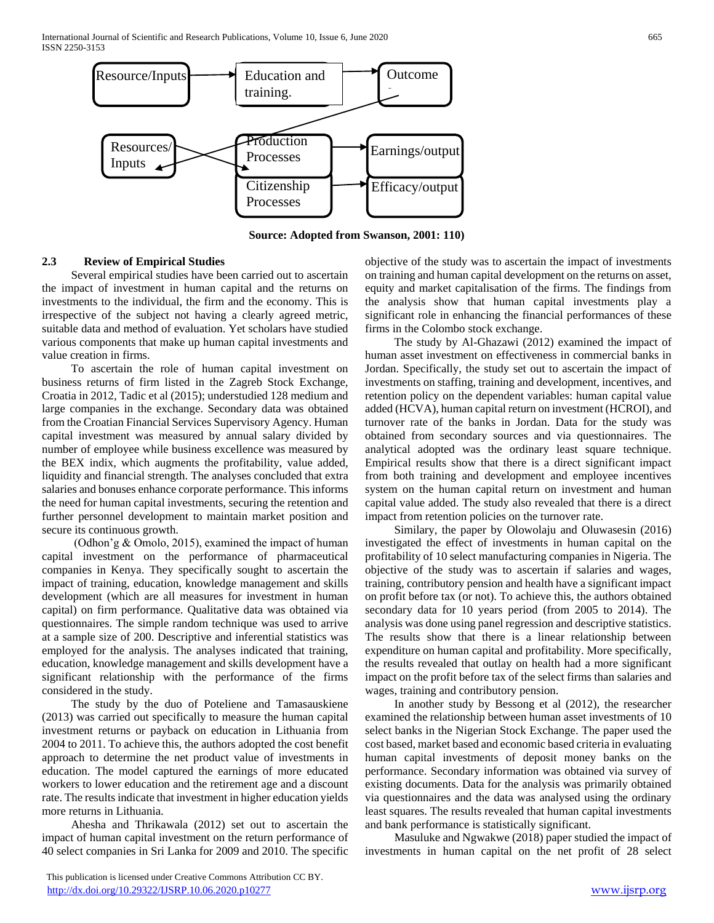

**Source: Adopted from Swanson, 2001: 110)**

# **2.3 Review of Empirical Studies**

 Several empirical studies have been carried out to ascertain the impact of investment in human capital and the returns on investments to the individual, the firm and the economy. This is irrespective of the subject not having a clearly agreed metric, suitable data and method of evaluation. Yet scholars have studied various components that make up human capital investments and value creation in firms.

 To ascertain the role of human capital investment on business returns of firm listed in the Zagreb Stock Exchange, Croatia in 2012, Tadic et al (2015); understudied 128 medium and large companies in the exchange. Secondary data was obtained from the Croatian Financial Services Supervisory Agency. Human capital investment was measured by annual salary divided by number of employee while business excellence was measured by the BEX indix, which augments the profitability, value added, liquidity and financial strength. The analyses concluded that extra salaries and bonuses enhance corporate performance. This informs the need for human capital investments, securing the retention and further personnel development to maintain market position and secure its continuous growth.

 (Odhon'g & Omolo, 2015), examined the impact of human capital investment on the performance of pharmaceutical companies in Kenya. They specifically sought to ascertain the impact of training, education, knowledge management and skills development (which are all measures for investment in human capital) on firm performance. Qualitative data was obtained via questionnaires. The simple random technique was used to arrive at a sample size of 200. Descriptive and inferential statistics was employed for the analysis. The analyses indicated that training, education, knowledge management and skills development have a significant relationship with the performance of the firms considered in the study.

 The study by the duo of Poteliene and Tamasauskiene (2013) was carried out specifically to measure the human capital investment returns or payback on education in Lithuania from 2004 to 2011. To achieve this, the authors adopted the cost benefit approach to determine the net product value of investments in education. The model captured the earnings of more educated workers to lower education and the retirement age and a discount rate. The results indicate that investment in higher education yields more returns in Lithuania.

 Ahesha and Thrikawala (2012) set out to ascertain the impact of human capital investment on the return performance of 40 select companies in Sri Lanka for 2009 and 2010. The specific

 This publication is licensed under Creative Commons Attribution CC BY. <http://dx.doi.org/10.29322/IJSRP.10.06.2020.p10277> [www.ijsrp.org](http://ijsrp.org/)

objective of the study was to ascertain the impact of investments on training and human capital development on the returns on asset, equity and market capitalisation of the firms. The findings from the analysis show that human capital investments play a significant role in enhancing the financial performances of these firms in the Colombo stock exchange.

 The study by Al-Ghazawi (2012) examined the impact of human asset investment on effectiveness in commercial banks in Jordan. Specifically, the study set out to ascertain the impact of investments on staffing, training and development, incentives, and retention policy on the dependent variables: human capital value added (HCVA), human capital return on investment (HCROI), and turnover rate of the banks in Jordan. Data for the study was obtained from secondary sources and via questionnaires. The analytical adopted was the ordinary least square technique. Empirical results show that there is a direct significant impact from both training and development and employee incentives system on the human capital return on investment and human capital value added. The study also revealed that there is a direct impact from retention policies on the turnover rate.

 Similary, the paper by Olowolaju and Oluwasesin (2016) investigated the effect of investments in human capital on the profitability of 10 select manufacturing companies in Nigeria. The objective of the study was to ascertain if salaries and wages, training, contributory pension and health have a significant impact on profit before tax (or not). To achieve this, the authors obtained secondary data for 10 years period (from 2005 to 2014). The analysis was done using panel regression and descriptive statistics. The results show that there is a linear relationship between expenditure on human capital and profitability. More specifically, the results revealed that outlay on health had a more significant impact on the profit before tax of the select firms than salaries and wages, training and contributory pension.

 In another study by Bessong et al (2012), the researcher examined the relationship between human asset investments of 10 select banks in the Nigerian Stock Exchange. The paper used the cost based, market based and economic based criteria in evaluating human capital investments of deposit money banks on the performance. Secondary information was obtained via survey of existing documents. Data for the analysis was primarily obtained via questionnaires and the data was analysed using the ordinary least squares. The results revealed that human capital investments and bank performance is statistically significant.

 Masuluke and Ngwakwe (2018) paper studied the impact of investments in human capital on the net profit of 28 select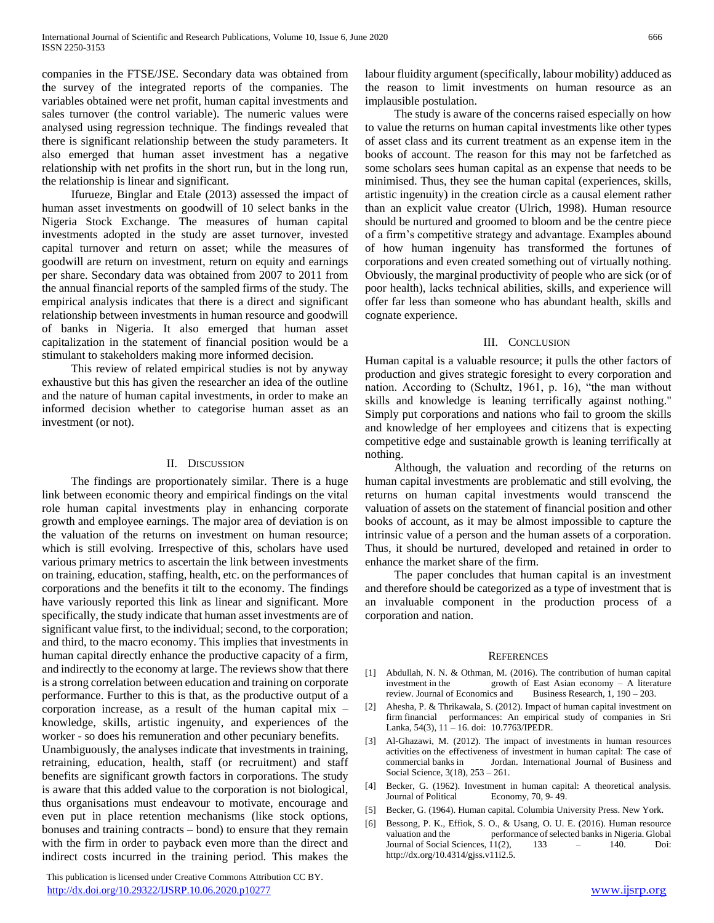companies in the FTSE/JSE. Secondary data was obtained from the survey of the integrated reports of the companies. The variables obtained were net profit, human capital investments and sales turnover (the control variable). The numeric values were analysed using regression technique. The findings revealed that there is significant relationship between the study parameters. It also emerged that human asset investment has a negative relationship with net profits in the short run, but in the long run, the relationship is linear and significant.

 Ifurueze, Binglar and Etale (2013) assessed the impact of human asset investments on goodwill of 10 select banks in the Nigeria Stock Exchange. The measures of human capital investments adopted in the study are asset turnover, invested capital turnover and return on asset; while the measures of goodwill are return on investment, return on equity and earnings per share. Secondary data was obtained from 2007 to 2011 from the annual financial reports of the sampled firms of the study. The empirical analysis indicates that there is a direct and significant relationship between investments in human resource and goodwill of banks in Nigeria. It also emerged that human asset capitalization in the statement of financial position would be a stimulant to stakeholders making more informed decision.

 This review of related empirical studies is not by anyway exhaustive but this has given the researcher an idea of the outline and the nature of human capital investments, in order to make an informed decision whether to categorise human asset as an investment (or not).

#### II. DISCUSSION

 The findings are proportionately similar. There is a huge link between economic theory and empirical findings on the vital role human capital investments play in enhancing corporate growth and employee earnings. The major area of deviation is on the valuation of the returns on investment on human resource; which is still evolving. Irrespective of this, scholars have used various primary metrics to ascertain the link between investments on training, education, staffing, health, etc. on the performances of corporations and the benefits it tilt to the economy. The findings have variously reported this link as linear and significant. More specifically, the study indicate that human asset investments are of significant value first, to the individual; second, to the corporation; and third, to the macro economy. This implies that investments in human capital directly enhance the productive capacity of a firm, and indirectly to the economy at large. The reviews show that there is a strong correlation between education and training on corporate performance. Further to this is that, as the productive output of a corporation increase, as a result of the human capital mix – knowledge, skills, artistic ingenuity, and experiences of the worker - so does his remuneration and other pecuniary benefits.

Unambiguously, the analyses indicate that investments in training, retraining, education, health, staff (or recruitment) and staff benefits are significant growth factors in corporations. The study is aware that this added value to the corporation is not biological, thus organisations must endeavour to motivate, encourage and even put in place retention mechanisms (like stock options, bonuses and training contracts – bond) to ensure that they remain with the firm in order to payback even more than the direct and indirect costs incurred in the training period. This makes the

 This publication is licensed under Creative Commons Attribution CC BY. <http://dx.doi.org/10.29322/IJSRP.10.06.2020.p10277> [www.ijsrp.org](http://ijsrp.org/)

labour fluidity argument (specifically, labour mobility) adduced as the reason to limit investments on human resource as an implausible postulation.

 The study is aware of the concerns raised especially on how to value the returns on human capital investments like other types of asset class and its current treatment as an expense item in the books of account. The reason for this may not be farfetched as some scholars sees human capital as an expense that needs to be minimised. Thus, they see the human capital (experiences, skills, artistic ingenuity) in the creation circle as a causal element rather than an explicit value creator (Ulrich, 1998). Human resource should be nurtured and groomed to bloom and be the centre piece of a firm's competitive strategy and advantage. Examples abound of how human ingenuity has transformed the fortunes of corporations and even created something out of virtually nothing. Obviously, the marginal productivity of people who are sick (or of poor health), lacks technical abilities, skills, and experience will offer far less than someone who has abundant health, skills and cognate experience.

### III. CONCLUSION

Human capital is a valuable resource; it pulls the other factors of production and gives strategic foresight to every corporation and nation. According to (Schultz, 1961, p. 16), "the man without skills and knowledge is leaning terrifically against nothing." Simply put corporations and nations who fail to groom the skills and knowledge of her employees and citizens that is expecting competitive edge and sustainable growth is leaning terrifically at nothing.

 Although, the valuation and recording of the returns on human capital investments are problematic and still evolving, the returns on human capital investments would transcend the valuation of assets on the statement of financial position and other books of account, as it may be almost impossible to capture the intrinsic value of a person and the human assets of a corporation. Thus, it should be nurtured, developed and retained in order to enhance the market share of the firm.

 The paper concludes that human capital is an investment and therefore should be categorized as a type of investment that is an invaluable component in the production process of a corporation and nation.

#### **REFERENCES**

- [1] Abdullah, N. N. & Othman, M. (2016). The contribution of human capital investment in the growth of East Asian economy – A literature review. Journal of Economics and Business Research, 1, 190 – 203.
- [2] Ahesha, P. & Thrikawala, S. (2012). Impact of human capital investment on firm financial performances: An empirical study of companies in Sri Lanka, 54(3), 11 – 16. doi: 10.7763/IPEDR.
- [3] Al-Ghazawi, M. (2012). The impact of investments in human resources activities on the effectiveness of investment in human capital: The case of commercial banks in Jordan. International Journal of Business and Social Science, 3(18), 253 – 261.
- [4] Becker, G. (1962). Investment in human capital: A theoretical analysis. Journal of Political Economy, 70, 9- 49.
- [5] Becker, G. (1964). Human capital. Columbia University Press. New York.
- [6] Bessong, P. K., Effiok, S. O., & Usang, O. U. E. (2016). Human resource valuation and the performance of selected banks in Nigeria. Global Journal of Social Sciences,  $11(2)$ ,  $133 = -140$ . Doi: http://dx.org/10.4314/gjss.v11i2.5.